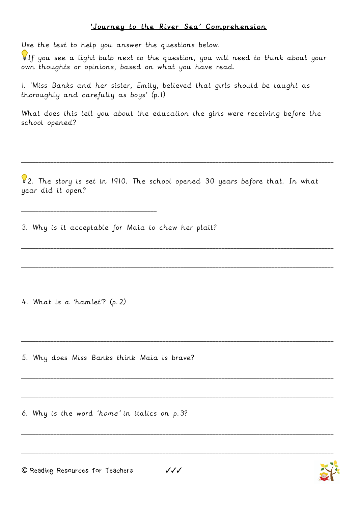## 'Journey to the River Sea' Comprehension

Use the text to help you answer the questions below.

If you see a light bulb next to the question, you will need to think about your own thoughts or opinions, based on what you have read.

1. 'Miss Banks and her sister, Emily, believed that girls should be taught as thoroughly and carefully as boys' (p.1)

What does this tell you about the education the girls were receiving before the school opened?

\_\_\_\_\_\_\_\_\_\_\_\_\_\_\_\_\_\_\_\_\_\_\_\_\_\_\_\_\_\_\_\_\_\_\_\_\_\_\_\_\_\_\_\_\_\_\_\_\_\_\_\_\_\_\_\_\_\_\_\_\_\_\_\_\_\_\_\_\_\_\_\_\_\_\_\_\_\_\_\_\_\_\_\_\_\_\_\_\_\_\_\_\_\_\_\_\_\_\_\_\_\_\_\_\_\_

\_\_\_\_\_\_\_\_\_\_\_\_\_\_\_\_\_\_\_\_\_\_\_\_\_\_\_\_\_\_\_\_\_\_\_\_\_\_\_\_\_\_\_\_\_\_\_\_\_\_\_\_\_\_\_\_\_\_\_\_\_\_\_\_\_\_\_\_\_\_\_\_\_\_\_\_\_\_\_\_\_\_\_\_\_\_\_\_\_\_\_\_\_\_\_\_\_\_\_\_\_\_\_\_\_\_

\_\_\_\_\_\_\_\_\_\_\_\_\_\_\_\_\_\_\_\_\_\_\_\_\_\_\_\_\_\_\_\_\_\_\_\_\_\_\_\_\_\_\_\_\_\_\_\_\_\_\_\_\_\_\_\_\_\_\_\_\_\_\_\_\_\_\_\_\_\_\_\_\_\_\_\_\_\_\_\_\_\_\_\_\_\_\_\_\_\_\_\_\_\_\_\_\_\_\_\_\_\_\_\_\_\_

\_\_\_\_\_\_\_\_\_\_\_\_\_\_\_\_\_\_\_\_\_\_\_\_\_\_\_\_\_\_\_\_\_\_\_\_\_\_\_\_\_\_\_\_\_\_\_\_\_\_\_\_\_\_\_\_\_\_\_\_\_\_\_\_\_\_\_\_\_\_\_\_\_\_\_\_\_\_\_\_\_\_\_\_\_\_\_\_\_\_\_\_\_\_\_\_\_\_\_\_\_\_\_\_\_\_

\_\_\_\_\_\_\_\_\_\_\_\_\_\_\_\_\_\_\_\_\_\_\_\_\_\_\_\_\_\_\_\_\_\_\_\_\_\_\_\_\_\_\_\_\_\_\_\_\_\_\_\_\_\_\_\_\_\_\_\_\_\_\_\_\_\_\_\_\_\_\_\_\_\_\_\_\_\_\_\_\_\_\_\_\_\_\_\_\_\_\_\_\_\_\_\_\_\_\_\_\_\_\_\_\_\_

\_\_\_\_\_\_\_\_\_\_\_\_\_\_\_\_\_\_\_\_\_\_\_\_\_\_\_\_\_\_\_\_\_\_\_\_\_\_\_\_\_\_\_\_\_\_\_\_\_\_\_\_\_\_\_\_\_\_\_\_\_\_\_\_\_\_\_\_\_\_\_\_\_\_\_\_\_\_\_\_\_\_\_\_\_\_\_\_\_\_\_\_\_\_\_\_\_\_\_\_\_\_\_\_\_\_

\_\_\_\_\_\_\_\_\_\_\_\_\_\_\_\_\_\_\_\_\_\_\_\_\_\_\_\_\_\_\_\_\_\_\_\_\_\_\_\_\_\_\_\_\_\_\_\_\_\_\_\_\_\_\_\_\_\_\_\_\_\_\_\_\_\_\_\_\_\_\_\_\_\_\_\_\_\_\_\_\_\_\_\_\_\_\_\_\_\_\_\_\_\_\_\_\_\_\_\_\_\_\_\_\_\_

\_\_\_\_\_\_\_\_\_\_\_\_\_\_\_\_\_\_\_\_\_\_\_\_\_\_\_\_\_\_\_\_\_\_\_\_\_\_\_\_\_\_\_\_\_\_\_\_\_\_\_\_\_\_\_\_\_\_\_\_\_\_\_\_\_\_\_\_\_\_\_\_\_\_\_\_\_\_\_\_\_\_\_\_\_\_\_\_\_\_\_\_\_\_\_\_\_\_\_\_\_\_\_\_\_\_

\_\_\_\_\_\_\_\_\_\_\_\_\_\_\_\_\_\_\_\_\_\_\_\_\_\_\_\_\_\_\_\_\_\_\_\_\_\_\_\_\_\_\_\_\_\_\_\_\_\_\_\_\_\_\_\_\_\_\_\_\_\_\_\_\_\_\_\_\_\_\_\_\_\_\_\_\_\_\_\_\_\_\_\_\_\_\_\_\_\_\_\_\_\_\_\_\_\_\_\_\_\_\_\_\_\_

\_\_\_\_\_\_\_\_\_\_\_\_\_\_\_\_\_\_\_\_\_\_\_\_\_\_\_\_\_\_\_\_\_\_\_\_\_\_\_\_\_\_\_\_\_\_\_\_\_\_\_\_\_\_\_\_\_\_\_\_\_\_\_\_\_\_\_\_\_\_\_\_\_\_\_\_\_\_\_\_\_\_\_\_\_\_\_\_\_\_\_\_\_\_\_\_\_\_\_\_\_\_\_\_\_\_

\_\_\_\_\_\_\_\_\_\_\_\_\_\_\_\_\_\_\_\_\_\_\_\_\_\_\_\_\_\_\_\_\_\_\_\_\_\_\_\_\_\_\_\_\_\_\_\_\_\_\_\_\_\_\_\_\_\_\_\_\_\_\_\_\_\_\_\_\_\_\_\_\_\_\_\_\_\_\_\_\_\_\_\_\_\_\_\_\_\_\_\_\_\_\_\_\_\_\_\_\_\_\_\_\_\_

 $\sqrt{2}$ . The story is set in 1910. The school opened 30 years before that. In what year did it open?

3. Why is it acceptable for Maia to chew her plait?

4. What is a 'hamlet'? (p.2)

\_\_\_\_\_\_\_\_\_\_\_\_\_\_\_\_\_\_\_\_\_\_\_\_\_\_\_\_\_\_\_\_\_\_\_\_\_\_\_\_\_\_\_\_\_\_

5. Why does Miss Banks think Maia is brave?

6. Why is the word 'home' in italics on p.3?